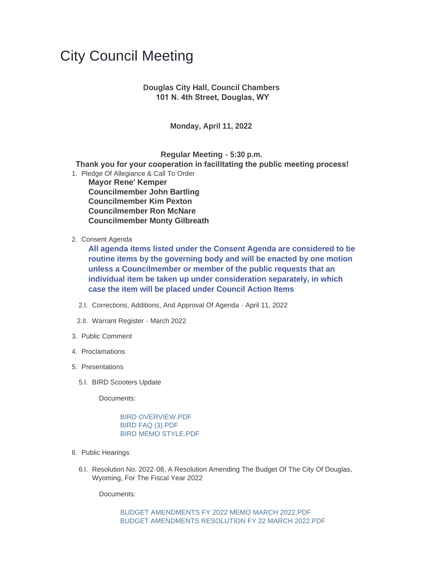## City Council Meeting

## **Douglas City Hall, Council Chambers 101 N. 4th Street, Douglas, WY**

**Monday, April 11, 2022**

**Regular Meeting - 5:30 p.m.**

 **Thank you for your cooperation in facilitating the public meeting process!**

- 1. Pledge Of Allegiance & Call To Order **Mayor Rene' Kemper Councilmember John Bartling Councilmember Kim Pexton Councilmember Ron McNare Councilmember Monty Gilbreath**
- 2. Consent Agenda

**All agenda items listed under the Consent Agenda are considered to be routine items by the governing body and will be enacted by one motion unless a Councilmember or member of the public requests that an individual item be taken up under consideration separately, in which case the item will be placed under Council Action Items**

- 2.I. Corrections, Additions, And Approval Of Agenda April 11, 2022
- 2.II. Warrant Register March 2022
- 3. Public Comment
- 4. Proclamations
- 5. Presentations
	- 5.I. BIRD Scooters Update

Documents:

[BIRD OVERVIEW.PDF](https://www.cityofdouglas.org/AgendaCenter/ViewFile/Item/4980?fileID=4236) [BIRD FAQ \(3\).PDF](https://www.cityofdouglas.org/AgendaCenter/ViewFile/Item/4980?fileID=4237) [BIRD MEMO STYLE.PDF](https://www.cityofdouglas.org/AgendaCenter/ViewFile/Item/4980?fileID=4238)

- 6. Public Hearings
	- 6.I. Resolution No. 2022-08, A Resolution Amending The Budget Of The City Of Douglas, Wyoming, For The Fiscal Year 2022

Documents: